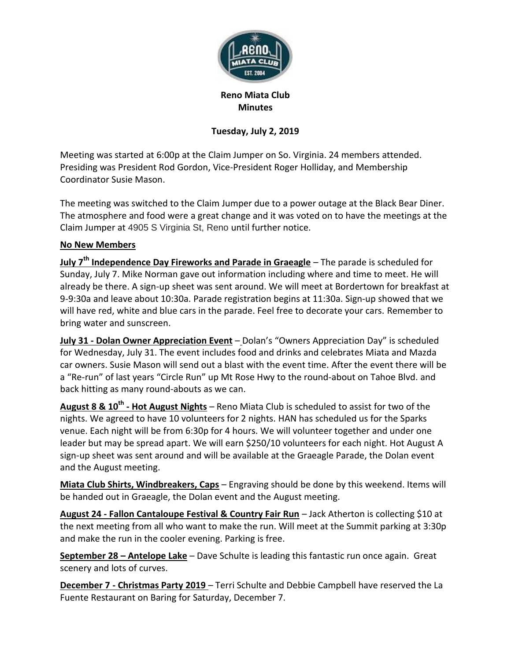

**Reno Miata Club Minutes**

## **Tuesday, July 2, 2019**

Meeting was started at 6:00p at the Claim Jumper on So. Virginia. 24 members attended. Presiding was President Rod Gordon, Vice-President Roger Holliday, and Membership Coordinator Susie Mason.

The meeting was switched to the Claim Jumper due to a power outage at the Black Bear Diner. The atmosphere and food were a great change and it was voted on to have the meetings at the Claim Jumper at 4905 S Virginia St, Reno until further notice.

## **No New Members**

**July 7th Independence Day Fireworks and Parade in Graeagle** – The parade is scheduled for Sunday, July 7. Mike Norman gave out information including where and time to meet. He will already be there. A sign-up sheet was sent around. We will meet at Bordertown for breakfast at 9-9:30a and leave about 10:30a. Parade registration begins at 11:30a. Sign-up showed that we will have red, white and blue cars in the parade. Feel free to decorate your cars. Remember to bring water and sunscreen.

**July 31 - Dolan Owner Appreciation Event** – Dolan's "Owners Appreciation Day" is scheduled for Wednesday, July 31. The event includes food and drinks and celebrates Miata and Mazda car owners. Susie Mason will send out a blast with the event time. After the event there will be a "Re-run" of last years "Circle Run" up Mt Rose Hwy to the round-about on Tahoe Blvd. and back hitting as many round-abouts as we can.

**August 8 & 10 th - Hot August Nights** – Reno Miata Club is scheduled to assist for two of the nights. We agreed to have 10 volunteers for 2 nights. HAN has scheduled us for the Sparks venue. Each night will be from 6:30p for 4 hours. We will volunteer together and under one leader but may be spread apart. We will earn \$250/10 volunteers for each night. Hot August A sign-up sheet was sent around and will be available at the Graeagle Parade, the Dolan event and the August meeting.

**Miata Club Shirts, Windbreakers, Caps** – Engraving should be done by this weekend. Items will be handed out in Graeagle, the Dolan event and the August meeting.

**August 24 - Fallon Cantaloupe Festival & Country Fair Run** – Jack Atherton is collecting \$10 at the next meeting from all who want to make the run. Will meet at the Summit parking at 3:30p and make the run in the cooler evening. Parking is free.

**September 28 – Antelope Lake** – Dave Schulte is leading this fantastic run once again. Great scenery and lots of curves.

**December 7 - Christmas Party 2019** – Terri Schulte and Debbie Campbell have reserved the La Fuente Restaurant on Baring for Saturday, December 7.